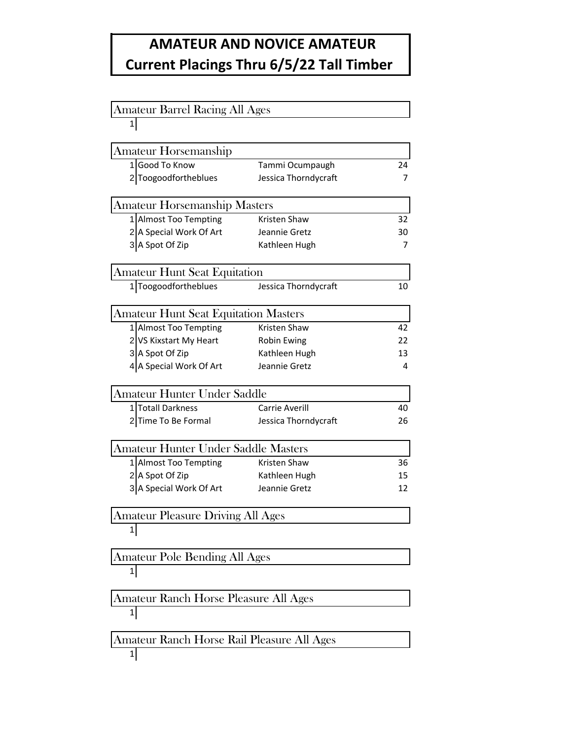## **AMATEUR AND NOVICE AMATEUR Current Placings Thru 6/5/22 Tall Timber**

| <b>Amateur Barrel Racing All Ages</b>       |                      |    |  |  |
|---------------------------------------------|----------------------|----|--|--|
| 1                                           |                      |    |  |  |
|                                             |                      |    |  |  |
| Amateur Horsemanship<br>1 Good To Know      |                      |    |  |  |
|                                             | Tammi Ocumpaugh      | 24 |  |  |
| 2 Toogoodfortheblues                        | Jessica Thorndycraft | 7  |  |  |
| <b>Amateur Horsemanship Masters</b>         |                      |    |  |  |
| 1 Almost Too Tempting                       | <b>Kristen Shaw</b>  | 32 |  |  |
| 2 A Special Work Of Art                     | Jeannie Gretz        | 30 |  |  |
| 3 A Spot Of Zip                             | Kathleen Hugh        | 7  |  |  |
| <b>Amateur Hunt Seat Equitation</b>         |                      |    |  |  |
| 1 Toogoodfortheblues                        | Jessica Thorndycraft | 10 |  |  |
| <b>Amateur Hunt Seat Equitation Masters</b> |                      |    |  |  |
| 1 Almost Too Tempting                       | <b>Kristen Shaw</b>  | 42 |  |  |
| 2 VS Kixstart My Heart                      | Robin Ewing          | 22 |  |  |
| 3 A Spot Of Zip                             | Kathleen Hugh        | 13 |  |  |
| 4 A Special Work Of Art                     | Jeannie Gretz        | 4  |  |  |
|                                             |                      |    |  |  |
| <b>Amateur Hunter Under Saddle</b>          |                      |    |  |  |
| 1 Totall Darkness                           | Carrie Averill       | 40 |  |  |
| 2Time To Be Formal                          | Jessica Thorndycraft | 26 |  |  |
| Amateur Hunter Under Saddle Masters         |                      |    |  |  |
| 1 Almost Too Tempting                       | Kristen Shaw         | 36 |  |  |
| 2 A Spot Of Zip                             | Kathleen Hugh        | 15 |  |  |
| 3 A Special Work Of Art                     | Jeannie Gretz        | 12 |  |  |
| Amateur Pleasure Driving All Ages           |                      |    |  |  |
| 1                                           |                      |    |  |  |
| <b>Amateur Pole Bending All Ages</b>        |                      |    |  |  |
| 1                                           |                      |    |  |  |
| Amateur Ranch Horse Pleasure All Ages       |                      |    |  |  |
| $\mathbf{1}$                                |                      |    |  |  |
| Amateur Ranch Horse Rail Pleasure All Ages  |                      |    |  |  |
| 1                                           |                      |    |  |  |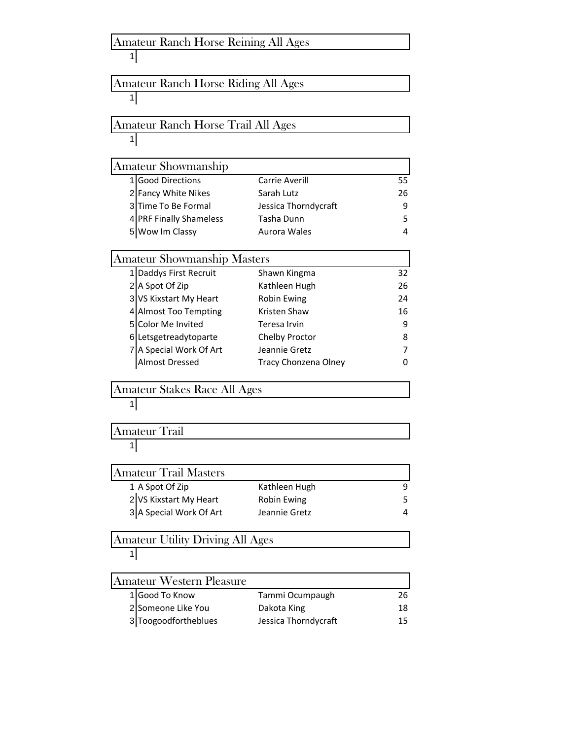| Amateur Ranch Horse Reining All Ages    |                      |    |
|-----------------------------------------|----------------------|----|
| $1\vert$                                |                      |    |
| Amateur Ranch Horse Riding All Ages     |                      |    |
| 1                                       |                      |    |
|                                         |                      |    |
| Amateur Ranch Horse Trail All Ages      |                      |    |
| 1                                       |                      |    |
| Amateur Showmanship                     |                      |    |
| 1 Good Directions                       | Carrie Averill       | 55 |
| 2 Fancy White Nikes                     | Sarah Lutz           | 26 |
| 3 Time To Be Formal                     | Jessica Thorndycraft | 9  |
| 4 PRF Finally Shameless                 | Tasha Dunn           | 5  |
| 5 Wow Im Classy                         | Aurora Wales         | 4  |
| <b>Amateur Showmanship Masters</b>      |                      |    |
| 1 Daddys First Recruit                  | Shawn Kingma         | 32 |
| 2 A Spot Of Zip                         | Kathleen Hugh        | 26 |
| 3 VS Kixstart My Heart                  | Robin Ewing          | 24 |
| 4 Almost Too Tempting                   | Kristen Shaw         | 16 |
| 5 Color Me Invited                      | Teresa Irvin         | 9  |
| 6 Letsgetreadytoparte                   | Chelby Proctor       | 8  |
| 7 A Special Work Of Art                 | Jeannie Gretz        | 7  |
| Almost Dressed                          | Tracy Chonzena Olney | O  |
| Amateur Stakes Race All Ages            |                      |    |
| 1                                       |                      |    |
|                                         |                      |    |
| Amateur Trail                           |                      |    |
| 1                                       |                      |    |
| <b>Amateur Trail Masters</b>            |                      |    |
| 1 A Spot Of Zip                         | Kathleen Hugh        | 9  |
| 2 VS Kixstart My Heart                  | <b>Robin Ewing</b>   | 5  |
| 3 A Special Work Of Art                 | Jeannie Gretz        | 4  |
| <b>Amateur Utility Driving All Ages</b> |                      |    |
| 1                                       |                      |    |
| Amateur Western Pleasure                |                      |    |
| Good To Know<br>11                      | Tammi Ocumpaugh      | 26 |
| 2 Someone Like You                      | Dakota King          | 18 |
| 3 Toogoodfortheblues                    | Jessica Thorndycraft | 15 |
|                                         |                      |    |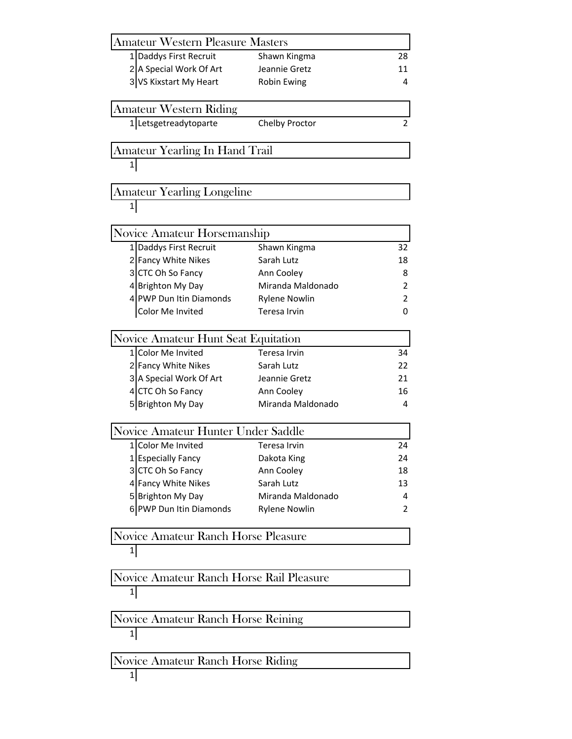| <b>Amateur Western Pleasure Masters</b>              |                      |    |
|------------------------------------------------------|----------------------|----|
| 1 Daddys First Recruit                               | Shawn Kingma         | 28 |
| 2 A Special Work Of Art                              | Jeannie Gretz        | 11 |
| 3 VS Kixstart My Heart                               | Robin Ewing          | 4  |
| <b>Amateur Western Riding</b>                        |                      |    |
| 1 Letsgetreadytoparte                                | Chelby Proctor       | 2  |
|                                                      |                      |    |
| Amateur Yearling In Hand Trail                       |                      |    |
| 1                                                    |                      |    |
| <b>Amateur Yearling Longeline</b>                    |                      |    |
| $\mathbf{1}$                                         |                      |    |
| Novice Amateur Horsemanship                          |                      |    |
| 1 Daddys First Recruit                               | Shawn Kingma         | 32 |
| 2 Fancy White Nikes                                  | Sarah Lutz           | 18 |
| 3 CTC Oh So Fancy                                    | Ann Cooley           | 8  |
| 4 Brighton My Day                                    | Miranda Maldonado    | 2  |
| 4 PWP Dun Itin Diamonds                              | <b>Rylene Nowlin</b> | 2  |
| Color Me Invited                                     | Teresa Irvin         | 0  |
| Novice Amateur Hunt Seat Equitation                  |                      |    |
| 1 Color Me Invited                                   | <b>Teresa Irvin</b>  | 34 |
| 2 Fancy White Nikes                                  | Sarah Lutz           | 22 |
| 3 A Special Work Of Art                              | Jeannie Gretz        | 21 |
| 4 CTC Oh So Fancy                                    | Ann Cooley           | 16 |
| 5 Brighton My Day                                    | Miranda Maldonado    | 4  |
| Novice Amateur Hunter Under Saddle                   |                      |    |
| Color Me Invited<br>1                                | Teresa Irvin         | 24 |
| 1 Especially Fancy                                   | Dakota King          | 24 |
| 3 CTC Oh So Fancy                                    | Ann Cooley           | 18 |
| 4 Fancy White Nikes                                  | Sarah Lutz           | 13 |
| 5 Brighton My Day                                    | Miranda Maldonado    | 4  |
| 6 PWP Dun Itin Diamonds                              | <b>Rylene Nowlin</b> | 2  |
| Novice Amateur Ranch Horse Pleasure                  |                      |    |
| $1\vert$                                             |                      |    |
|                                                      |                      |    |
| Novice Amateur Ranch Horse Rail Pleasure<br>$1\vert$ |                      |    |
|                                                      |                      |    |
| Novice Amateur Ranch Horse Reining<br>$\mathbf{1}$   |                      |    |
|                                                      |                      |    |
| Novice Amateur Ranch Horse Riding                    |                      |    |
| $\mathbf{1}$                                         |                      |    |